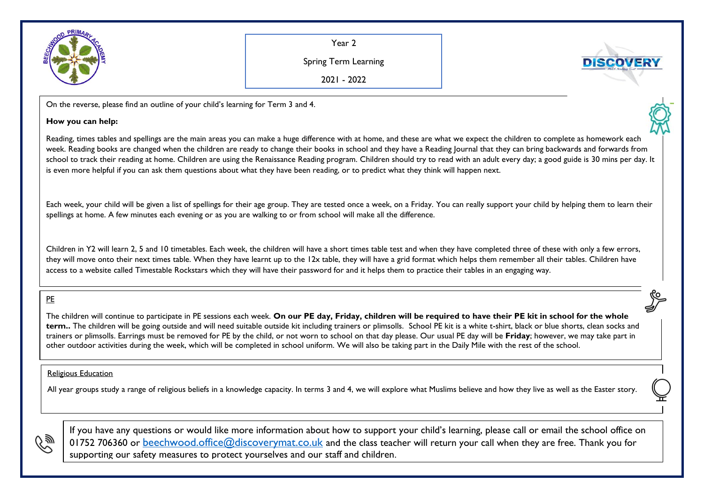

Year 2

Spring Term Learning

**DISCOVER** 

2021 - 2022

On the reverse, please find an outline of your child's learning for Term 3 and 4.

## **How you can help:**

Reading, times tables and spellings are the main areas you can make a huge difference with at home, and these are what we expect the children to complete as homework each week. Reading books are changed when the children are ready to change their books in school and they have a Reading Journal that they can bring backwards and forwards from school to track their reading at home. Children are using the Renaissance Reading program. Children should try to read with an adult every day; a good guide is 30 mins per day. It is even more helpful if you can ask them questions about what they have been reading, or to predict what they think will happen next.

Each week, your child will be given a list of spellings for their age group. They are tested once a week, on a Friday. You can really support your child by helping them to learn their spellings at home. A few minutes each evening or as you are walking to or from school will make all the difference.

Children in Y2 will learn 2, 5 and 10 timetables. Each week, the children will have a short times table test and when they have completed three of these with only a few errors, they will move onto their next times table. When they have learnt up to the 12x table, they will have a grid format which helps them remember all their tables. Children have access to a website called Timestable Rockstars which they will have their password for and it helps them to practice their tables in an engaging way.

## PE

The children will continue to participate in PE sessions each week. **On our PE day, Friday, children will be required to have their PE kit in school for the whole term..** The children will be going outside and will need suitable outside kit including trainers or plimsolls. School PE kit is a white t-shirt, black or blue shorts, clean socks and trainers or plimsolls. Earrings must be removed for PE by the child, or not worn to school on that day please. Our usual PE day will be **Friday**; however, we may take part in other outdoor activities during the week, which will be completed in school uniform. We will also be taking part in the Daily Mile with the rest of the school.

## Religious Education

All year groups study a range of religious beliefs in a knowledge capacity. In terms 3 and 4, we will explore what Muslims believe and how they live as well as the Easter story.



If you have any questions or would like more information about how to support your child's learning, please call or email the school office on 01752 706360 or [beechwood.office@discoverymat.co.uk](mailto:beechwood.office@discoverymat.co.uk) and the class teacher will return your call when they are free. Thank you for supporting our safety measures to protect yourselves and our staff and children.